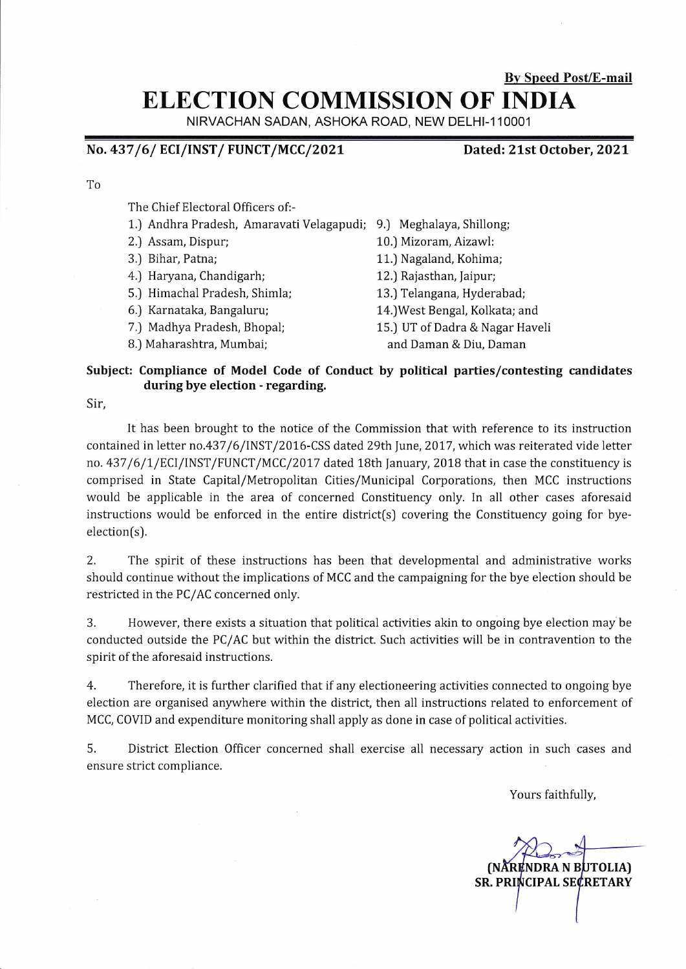# By Speed Post/E-mail ELECTION COMMISSION OF INDIA

NIRVACHAN SADAN, ASHOKA ROAD, NEW DELHI-11OOO1

### No. 437/6/ ECI/INST/ FUNCT/MCC/2021

#### Dated: 21st October, 2021

To

The Chief Electoral Officers of:-

- 1.) Andhra Pradesh, Amaravati Velagapudi; 9.) Meghalaya,Shillong;
- 2.J Assam, Dispur;
- 3.) Bihar, Patna;
- 4.) Haryana, Chandigarh;
- 5.) Himachal Pradesh, Shimla;
- 6.) Karnataka, Bangaluru;
- 7.) Madhya Pradesh, Bhopal;
- B.) Maharashtra, Mumbai;
- - 10.) Mizoram, Aizawl:
	- 11.) Nagaland, Kohima;
	- 12.) Rajasthan, Jaipur;
	- 13.) Telangana, Hyderabad;
	- l4.)West Bengal, Kolkata; and
	- 15.) UT of Dadra & Nagar Haveli
		- and Daman & Diu, Daman

#### Subject: Compliance of Model Code of Conduct by political parties/contesting candidates during bye election - regarding.

Sir,

It has been brought to the notice of the Commission that with reference to its instruction contained in letter no.437/6/INST/2016-CSS dated 29th June, 2017, which was reiterated vide letter no. 437/6/1/ECI/INST/FUNCT/MCC/2017 dated 18th January, 2018 that in case the constituency is comprised in State Capital/Metropolitan Cities/Municipal Corporations, then MCC instructions would be applicable in the area of concerned Constituency only. In all other cases aforesaid instructions would be enforced in the entire district(s) covering the Constituency going for byeelection(s).

2. The spirit of these instructions has been that developmental and administrative works should continue without the implications of MCC and the campaigning for the bye election should be restricted in the PC/AC concerned only.

3. However, there exists a situation that political activities akin to ongoing bye election may be conducted outside the PC/AC but within the district. Such activities will be in contravention to the spirit of the aforesaid instructions.

4. Therefore, it is further clarified that if any electioneering activities connected to ongoing bye election are organised anywhere within the district, then all instructions related to enforcement of MCC, COVID and expenditure monitoring shall apply as done in case of political activities.

5. District Election Officer concerned shall exercise all necessary action in such cases and ensure strict compliance.

Yours faithfully,

(NÅRENDRA N BUTOLIA)<br>SR. PRINCIPAL SECRETARY